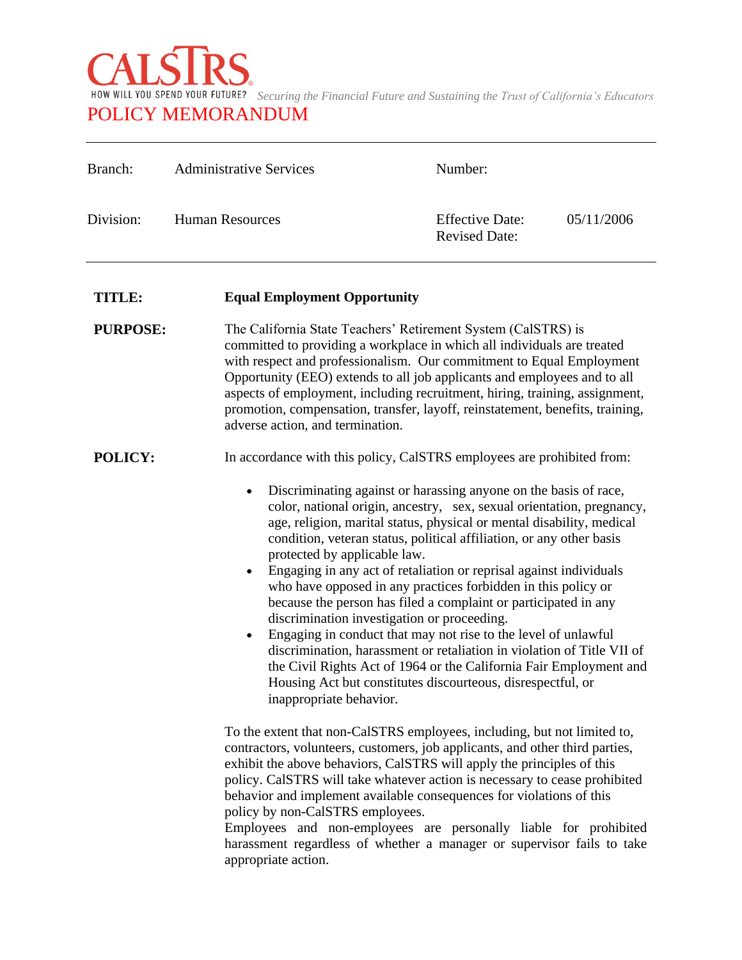

| Branch:         | <b>Administrative Services</b>                                                                                                                                                                                                                                                                                                                                                                                                                                                                                                                                                                                                                                                                                                                                                                                                                                                                                                 | Number:                                                                                                                                                                                                                                                                                                                                                                                                                                                      |            |
|-----------------|--------------------------------------------------------------------------------------------------------------------------------------------------------------------------------------------------------------------------------------------------------------------------------------------------------------------------------------------------------------------------------------------------------------------------------------------------------------------------------------------------------------------------------------------------------------------------------------------------------------------------------------------------------------------------------------------------------------------------------------------------------------------------------------------------------------------------------------------------------------------------------------------------------------------------------|--------------------------------------------------------------------------------------------------------------------------------------------------------------------------------------------------------------------------------------------------------------------------------------------------------------------------------------------------------------------------------------------------------------------------------------------------------------|------------|
| Division:       | <b>Human Resources</b>                                                                                                                                                                                                                                                                                                                                                                                                                                                                                                                                                                                                                                                                                                                                                                                                                                                                                                         | <b>Effective Date:</b><br><b>Revised Date:</b>                                                                                                                                                                                                                                                                                                                                                                                                               | 05/11/2006 |
| <b>TITLE:</b>   | <b>Equal Employment Opportunity</b>                                                                                                                                                                                                                                                                                                                                                                                                                                                                                                                                                                                                                                                                                                                                                                                                                                                                                            |                                                                                                                                                                                                                                                                                                                                                                                                                                                              |            |
| <b>PURPOSE:</b> | adverse action, and termination.                                                                                                                                                                                                                                                                                                                                                                                                                                                                                                                                                                                                                                                                                                                                                                                                                                                                                               | The California State Teachers' Retirement System (CalSTRS) is<br>committed to providing a workplace in which all individuals are treated<br>with respect and professionalism. Our commitment to Equal Employment<br>Opportunity (EEO) extends to all job applicants and employees and to all<br>aspects of employment, including recruitment, hiring, training, assignment,<br>promotion, compensation, transfer, layoff, reinstatement, benefits, training, |            |
| POLICY:         | In accordance with this policy, CalSTRS employees are prohibited from:                                                                                                                                                                                                                                                                                                                                                                                                                                                                                                                                                                                                                                                                                                                                                                                                                                                         |                                                                                                                                                                                                                                                                                                                                                                                                                                                              |            |
|                 | Discriminating against or harassing anyone on the basis of race,<br>$\bullet$<br>color, national origin, ancestry, sex, sexual orientation, pregnancy,<br>age, religion, marital status, physical or mental disability, medical<br>condition, veteran status, political affiliation, or any other basis<br>protected by applicable law.<br>Engaging in any act of retaliation or reprisal against individuals<br>$\bullet$<br>who have opposed in any practices forbidden in this policy or<br>because the person has filed a complaint or participated in any<br>discrimination investigation or proceeding.<br>Engaging in conduct that may not rise to the level of unlawful<br>٠<br>discrimination, harassment or retaliation in violation of Title VII of<br>the Civil Rights Act of 1964 or the California Fair Employment and<br>Housing Act but constitutes discourteous, disrespectful, or<br>inappropriate behavior. |                                                                                                                                                                                                                                                                                                                                                                                                                                                              |            |
|                 | To the extent that non-CalSTRS employees, including, but not limited to,<br>contractors, volunteers, customers, job applicants, and other third parties,<br>exhibit the above behaviors, CalSTRS will apply the principles of this<br>policy. CalSTRS will take whatever action is necessary to cease prohibited<br>behavior and implement available consequences for violations of this<br>policy by non-CalSTRS employees.<br>Employees and non-employees are personally liable for prohibited<br>harassment regardless of whether a manager or supervisor fails to take<br>appropriate action.                                                                                                                                                                                                                                                                                                                              |                                                                                                                                                                                                                                                                                                                                                                                                                                                              |            |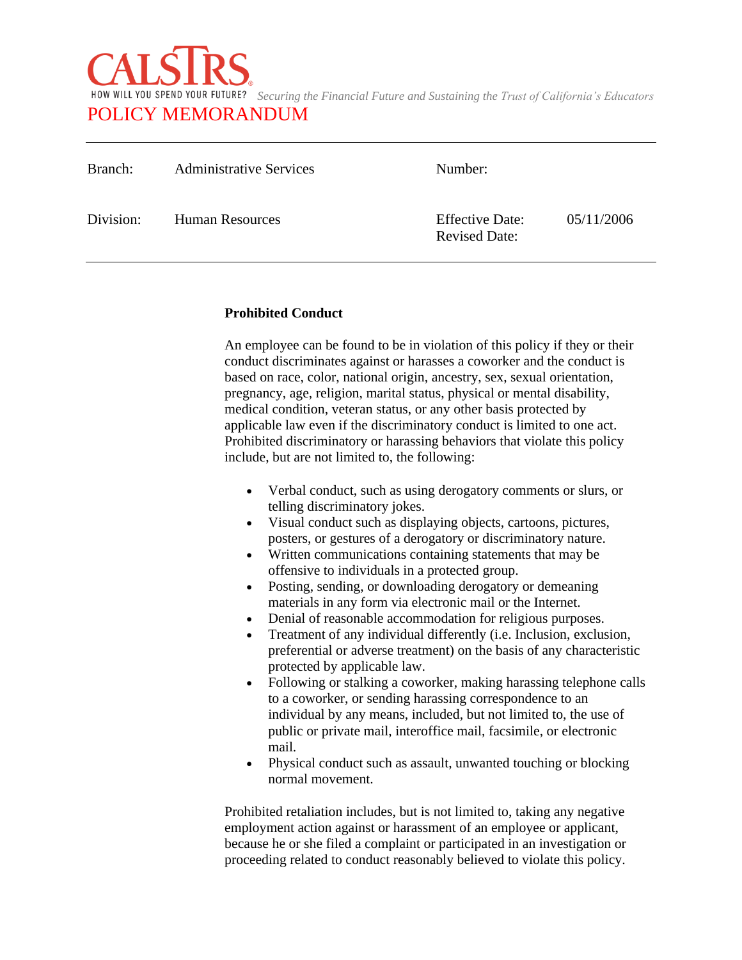

| Branch:   | <b>Administrative Services</b> | Number:                                        |            |
|-----------|--------------------------------|------------------------------------------------|------------|
| Division: | Human Resources                | <b>Effective Date:</b><br><b>Revised Date:</b> | 05/11/2006 |

## **Prohibited Conduct**

An employee can be found to be in violation of this policy if they or their conduct discriminates against or harasses a coworker and the conduct is based on race, color, national origin, ancestry, sex, sexual orientation, pregnancy, age, religion, marital status, physical or mental disability, medical condition, veteran status, or any other basis protected by applicable law even if the discriminatory conduct is limited to one act. Prohibited discriminatory or harassing behaviors that violate this policy include, but are not limited to, the following:

- Verbal conduct, such as using derogatory comments or slurs, or telling discriminatory jokes.
- Visual conduct such as displaying objects, cartoons, pictures, posters, or gestures of a derogatory or discriminatory nature.
- Written communications containing statements that may be offensive to individuals in a protected group.
- Posting, sending, or downloading derogatory or demeaning materials in any form via electronic mail or the Internet.
- Denial of reasonable accommodation for religious purposes.
- Treatment of any individual differently (i.e. Inclusion, exclusion, preferential or adverse treatment) on the basis of any characteristic protected by applicable law.
- Following or stalking a coworker, making harassing telephone calls to a coworker, or sending harassing correspondence to an individual by any means, included, but not limited to, the use of public or private mail, interoffice mail, facsimile, or electronic mail.
- Physical conduct such as assault, unwanted touching or blocking normal movement.

Prohibited retaliation includes, but is not limited to, taking any negative employment action against or harassment of an employee or applicant, because he or she filed a complaint or participated in an investigation or proceeding related to conduct reasonably believed to violate this policy.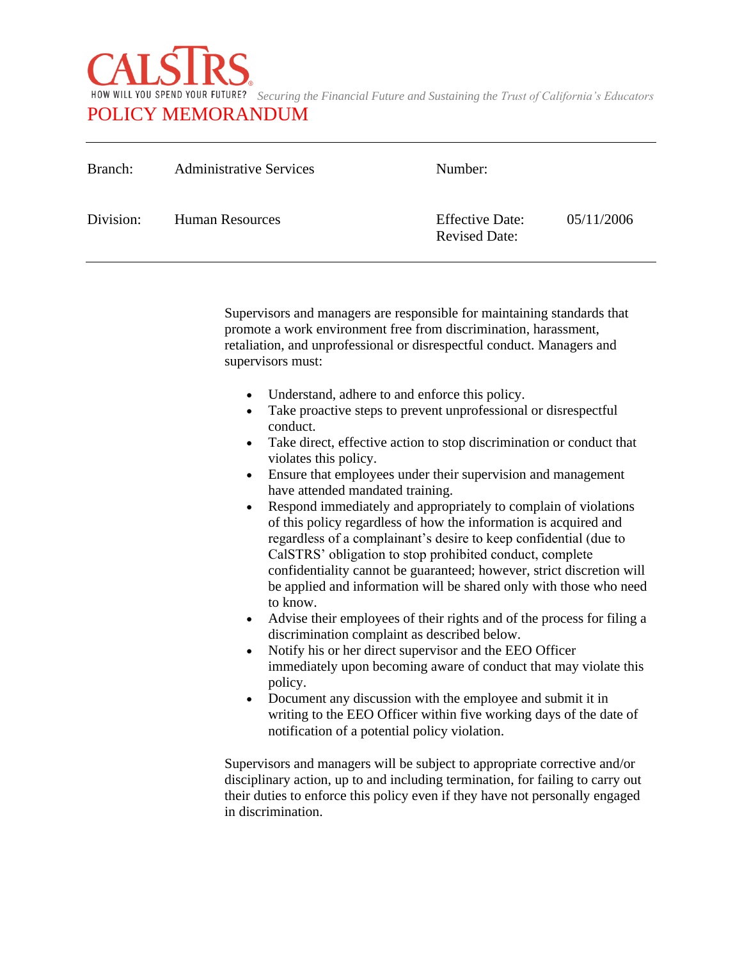

| Branch:   | <b>Administrative Services</b> | Number:                                        |            |
|-----------|--------------------------------|------------------------------------------------|------------|
| Division: | Human Resources                | <b>Effective Date:</b><br><b>Revised Date:</b> | 05/11/2006 |

Supervisors and managers are responsible for maintaining standards that promote a work environment free from discrimination, harassment, retaliation, and unprofessional or disrespectful conduct. Managers and supervisors must:

- Understand, adhere to and enforce this policy.
- Take proactive steps to prevent unprofessional or disrespectful conduct.
- Take direct, effective action to stop discrimination or conduct that violates this policy.
- Ensure that employees under their supervision and management have attended mandated training.
- Respond immediately and appropriately to complain of violations of this policy regardless of how the information is acquired and regardless of a complainant's desire to keep confidential (due to CalSTRS' obligation to stop prohibited conduct, complete confidentiality cannot be guaranteed; however, strict discretion will be applied and information will be shared only with those who need to know.
- Advise their employees of their rights and of the process for filing a discrimination complaint as described below.
- Notify his or her direct supervisor and the EEO Officer immediately upon becoming aware of conduct that may violate this policy.
- Document any discussion with the employee and submit it in writing to the EEO Officer within five working days of the date of notification of a potential policy violation.

Supervisors and managers will be subject to appropriate corrective and/or disciplinary action, up to and including termination, for failing to carry out their duties to enforce this policy even if they have not personally engaged in discrimination.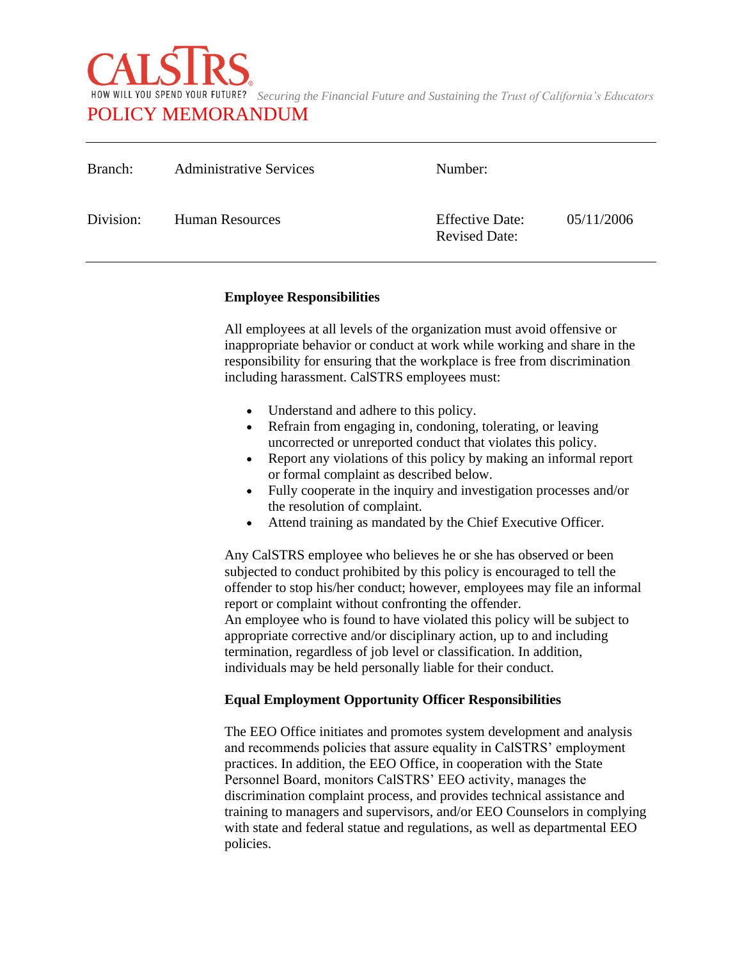

| Branch:   | <b>Administrative Services</b> | Number:                                        |            |
|-----------|--------------------------------|------------------------------------------------|------------|
| Division: | <b>Human Resources</b>         | <b>Effective Date:</b><br><b>Revised Date:</b> | 05/11/2006 |

### **Employee Responsibilities**

All employees at all levels of the organization must avoid offensive or inappropriate behavior or conduct at work while working and share in the responsibility for ensuring that the workplace is free from discrimination including harassment. CalSTRS employees must:

- Understand and adhere to this policy.
- Refrain from engaging in, condoning, tolerating, or leaving uncorrected or unreported conduct that violates this policy.
- Report any violations of this policy by making an informal report or formal complaint as described below.
- Fully cooperate in the inquiry and investigation processes and/or the resolution of complaint.
- Attend training as mandated by the Chief Executive Officer.

Any CalSTRS employee who believes he or she has observed or been subjected to conduct prohibited by this policy is encouraged to tell the offender to stop his/her conduct; however, employees may file an informal report or complaint without confronting the offender. An employee who is found to have violated this policy will be subject to appropriate corrective and/or disciplinary action, up to and including termination, regardless of job level or classification. In addition, individuals may be held personally liable for their conduct.

# **Equal Employment Opportunity Officer Responsibilities**

The EEO Office initiates and promotes system development and analysis and recommends policies that assure equality in CalSTRS' employment practices. In addition, the EEO Office, in cooperation with the State Personnel Board, monitors CalSTRS' EEO activity, manages the discrimination complaint process, and provides technical assistance and training to managers and supervisors, and/or EEO Counselors in complying with state and federal statue and regulations, as well as departmental EEO policies.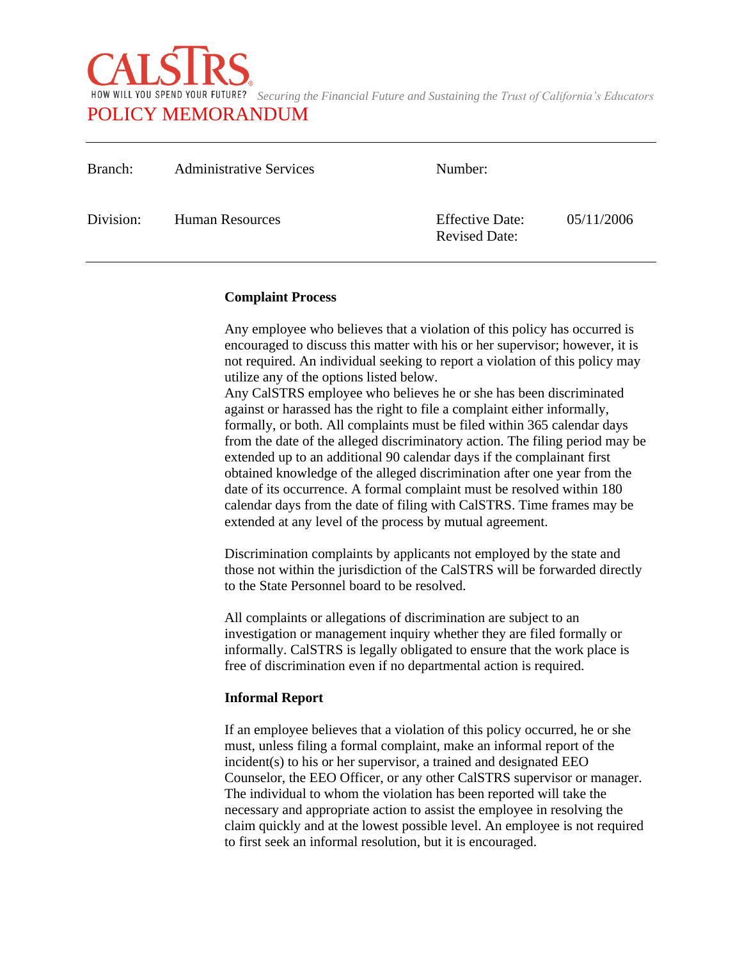

| Branch:   | <b>Administrative Services</b> | Number:                                        |            |
|-----------|--------------------------------|------------------------------------------------|------------|
| Division: | Human Resources                | <b>Effective Date:</b><br><b>Revised Date:</b> | 05/11/2006 |

### **Complaint Process**

Any employee who believes that a violation of this policy has occurred is encouraged to discuss this matter with his or her supervisor; however, it is not required. An individual seeking to report a violation of this policy may utilize any of the options listed below.

Any CalSTRS employee who believes he or she has been discriminated against or harassed has the right to file a complaint either informally, formally, or both. All complaints must be filed within 365 calendar days from the date of the alleged discriminatory action. The filing period may be extended up to an additional 90 calendar days if the complainant first obtained knowledge of the alleged discrimination after one year from the date of its occurrence. A formal complaint must be resolved within 180 calendar days from the date of filing with CalSTRS. Time frames may be extended at any level of the process by mutual agreement.

Discrimination complaints by applicants not employed by the state and those not within the jurisdiction of the CalSTRS will be forwarded directly to the State Personnel board to be resolved.

All complaints or allegations of discrimination are subject to an investigation or management inquiry whether they are filed formally or informally. CalSTRS is legally obligated to ensure that the work place is free of discrimination even if no departmental action is required.

### **Informal Report**

If an employee believes that a violation of this policy occurred, he or she must, unless filing a formal complaint, make an informal report of the incident(s) to his or her supervisor, a trained and designated EEO Counselor, the EEO Officer, or any other CalSTRS supervisor or manager. The individual to whom the violation has been reported will take the necessary and appropriate action to assist the employee in resolving the claim quickly and at the lowest possible level. An employee is not required to first seek an informal resolution, but it is encouraged.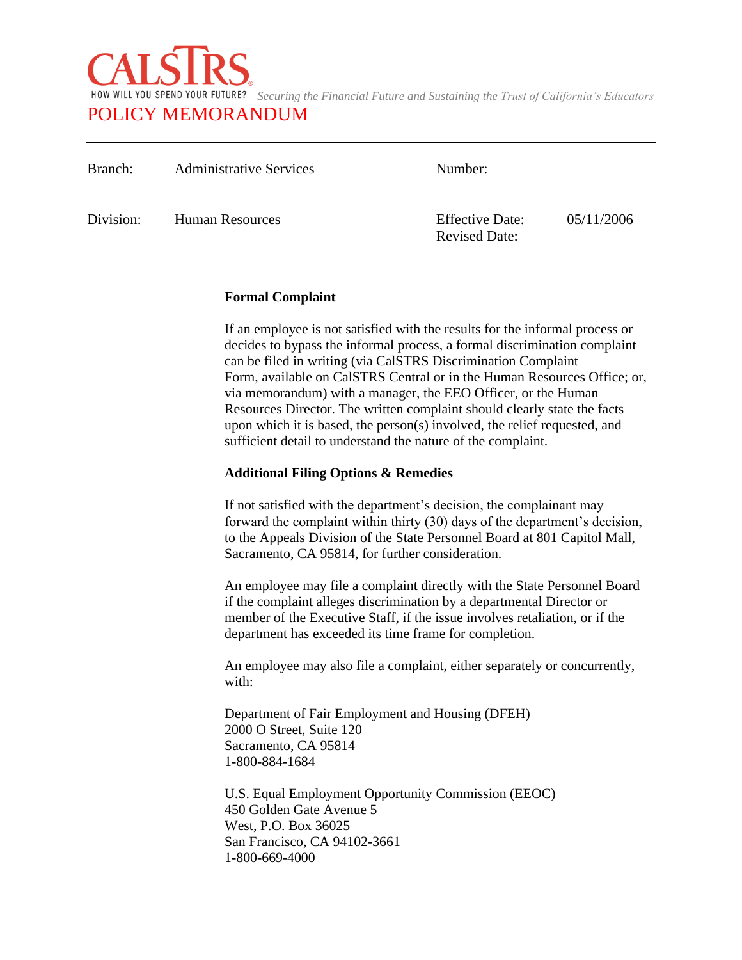

| Branch:   | <b>Administrative Services</b> | Number:                                        |            |
|-----------|--------------------------------|------------------------------------------------|------------|
| Division: | Human Resources                | <b>Effective Date:</b><br><b>Revised Date:</b> | 05/11/2006 |

### **Formal Complaint**

If an employee is not satisfied with the results for the informal process or decides to bypass the informal process, a formal discrimination complaint can be filed in writing (via CalSTRS Discrimination Complaint Form, available on CalSTRS Central or in the Human Resources Office; or, via memorandum) with a manager, the EEO Officer, or the Human Resources Director. The written complaint should clearly state the facts upon which it is based, the person(s) involved, the relief requested, and sufficient detail to understand the nature of the complaint.

## **Additional Filing Options & Remedies**

If not satisfied with the department's decision, the complainant may forward the complaint within thirty (30) days of the department's decision, to the Appeals Division of the State Personnel Board at 801 Capitol Mall, Sacramento, CA 95814, for further consideration.

An employee may file a complaint directly with the State Personnel Board if the complaint alleges discrimination by a departmental Director or member of the Executive Staff, if the issue involves retaliation, or if the department has exceeded its time frame for completion.

An employee may also file a complaint, either separately or concurrently, with:

Department of Fair Employment and Housing (DFEH) 2000 O Street, Suite 120 Sacramento, CA 95814 1-800-884-1684

U.S. Equal Employment Opportunity Commission (EEOC) 450 Golden Gate Avenue 5 West, P.O. Box 36025 San Francisco, CA 94102-3661 1-800-669-4000